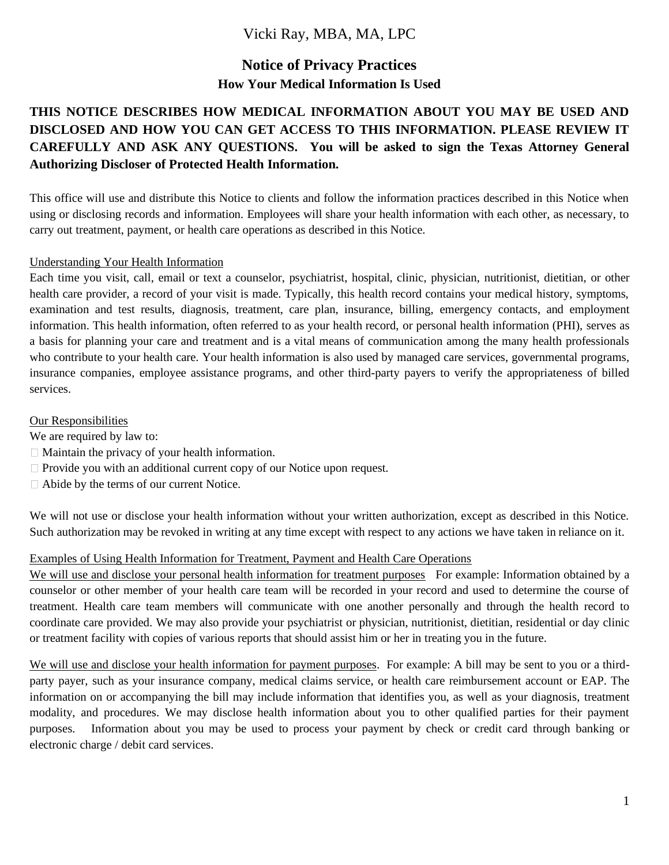# Vicki Ray, MBA, MA, LPC

# **Notice of Privacy Practices How Your Medical Information Is Used**

# **THIS NOTICE DESCRIBES HOW MEDICAL INFORMATION ABOUT YOU MAY BE USED AND DISCLOSED AND HOW YOU CAN GET ACCESS TO THIS INFORMATION. PLEASE REVIEW IT CAREFULLY AND ASK ANY QUESTIONS. You will be asked to sign the Texas Attorney General Authorizing Discloser of Protected Health Information.**

This office will use and distribute this Notice to clients and follow the information practices described in this Notice when using or disclosing records and information. Employees will share your health information with each other, as necessary, to carry out treatment, payment, or health care operations as described in this Notice.

## Understanding Your Health Information

Each time you visit, call, email or text a counselor, psychiatrist, hospital, clinic, physician, nutritionist, dietitian, or other health care provider, a record of your visit is made. Typically, this health record contains your medical history, symptoms, examination and test results, diagnosis, treatment, care plan, insurance, billing, emergency contacts, and employment information. This health information, often referred to as your health record, or personal health information (PHI), serves as a basis for planning your care and treatment and is a vital means of communication among the many health professionals who contribute to your health care. Your health information is also used by managed care services, governmental programs, insurance companies, employee assistance programs, and other third-party payers to verify the appropriateness of billed services.

## Our Responsibilities

We are required by law to:

- $\Box$  Maintain the privacy of your health information.
- □ Provide you with an additional current copy of our Notice upon request.
- □ Abide by the terms of our current Notice.

We will not use or disclose your health information without your written authorization, except as described in this Notice. Such authorization may be revoked in writing at any time except with respect to any actions we have taken in reliance on it.

# Examples of Using Health Information for Treatment, Payment and Health Care Operations

We will use and disclose your personal health information for treatment purposes For example: Information obtained by a counselor or other member of your health care team will be recorded in your record and used to determine the course of treatment. Health care team members will communicate with one another personally and through the health record to coordinate care provided. We may also provide your psychiatrist or physician, nutritionist, dietitian, residential or day clinic or treatment facility with copies of various reports that should assist him or her in treating you in the future.

We will use and disclose your health information for payment purposes. For example: A bill may be sent to you or a thirdparty payer, such as your insurance company, medical claims service, or health care reimbursement account or EAP. The information on or accompanying the bill may include information that identifies you, as well as your diagnosis, treatment modality, and procedures. We may disclose health information about you to other qualified parties for their payment purposes. Information about you may be used to process your payment by check or credit card through banking or electronic charge / debit card services.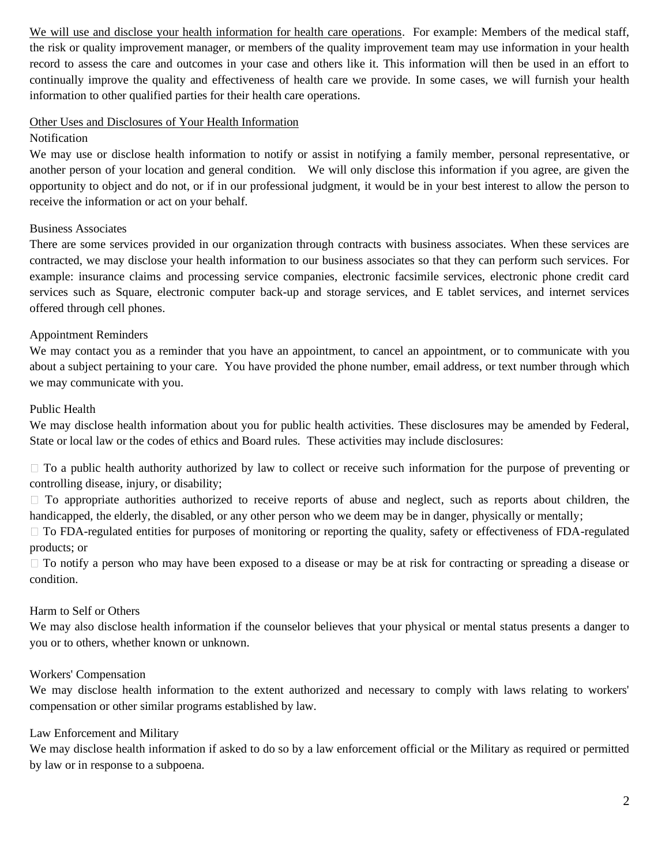We will use and disclose your health information for health care operations. For example: Members of the medical staff, the risk or quality improvement manager, or members of the quality improvement team may use information in your health record to assess the care and outcomes in your case and others like it. This information will then be used in an effort to continually improve the quality and effectiveness of health care we provide. In some cases, we will furnish your health information to other qualified parties for their health care operations.

#### Other Uses and Disclosures of Your Health Information

#### Notification

We may use or disclose health information to notify or assist in notifying a family member, personal representative, or another person of your location and general condition. We will only disclose this information if you agree, are given the opportunity to object and do not, or if in our professional judgment, it would be in your best interest to allow the person to receive the information or act on your behalf.

## Business Associates

There are some services provided in our organization through contracts with business associates. When these services are contracted, we may disclose your health information to our business associates so that they can perform such services. For example: insurance claims and processing service companies, electronic facsimile services, electronic phone credit card services such as Square, electronic computer back-up and storage services, and E tablet services, and internet services offered through cell phones.

## Appointment Reminders

We may contact you as a reminder that you have an appointment, to cancel an appointment, or to communicate with you about a subject pertaining to your care. You have provided the phone number, email address, or text number through which we may communicate with you.

## Public Health

We may disclose health information about you for public health activities. These disclosures may be amended by Federal, State or local law or the codes of ethics and Board rules. These activities may include disclosures:

□ To a public health authority authorized by law to collect or receive such information for the purpose of preventing or controlling disease, injury, or disability;

 $\Box$  To appropriate authorities authorized to receive reports of abuse and neglect, such as reports about children, the handicapped, the elderly, the disabled, or any other person who we deem may be in danger, physically or mentally;

 $\Box$  To FDA-regulated entities for purposes of monitoring or reporting the quality, safety or effectiveness of FDA-regulated products; or

 $\Box$  To notify a person who may have been exposed to a disease or may be at risk for contracting or spreading a disease or condition.

# Harm to Self or Others

We may also disclose health information if the counselor believes that your physical or mental status presents a danger to you or to others, whether known or unknown.

#### Workers' Compensation

We may disclose health information to the extent authorized and necessary to comply with laws relating to workers' compensation or other similar programs established by law.

#### Law Enforcement and Military

We may disclose health information if asked to do so by a law enforcement official or the Military as required or permitted by law or in response to a subpoena.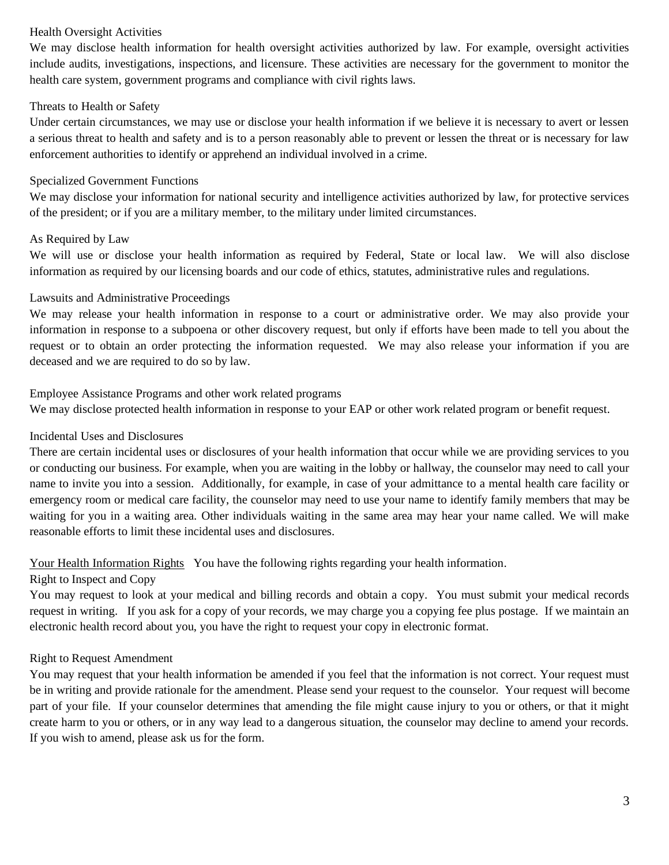#### Health Oversight Activities

We may disclose health information for health oversight activities authorized by law. For example, oversight activities include audits, investigations, inspections, and licensure. These activities are necessary for the government to monitor the health care system, government programs and compliance with civil rights laws.

# Threats to Health or Safety

Under certain circumstances, we may use or disclose your health information if we believe it is necessary to avert or lessen a serious threat to health and safety and is to a person reasonably able to prevent or lessen the threat or is necessary for law enforcement authorities to identify or apprehend an individual involved in a crime.

## Specialized Government Functions

We may disclose your information for national security and intelligence activities authorized by law, for protective services of the president; or if you are a military member, to the military under limited circumstances.

## As Required by Law

We will use or disclose your health information as required by Federal, State or local law. We will also disclose information as required by our licensing boards and our code of ethics, statutes, administrative rules and regulations.

# Lawsuits and Administrative Proceedings

We may release your health information in response to a court or administrative order. We may also provide your information in response to a subpoena or other discovery request, but only if efforts have been made to tell you about the request or to obtain an order protecting the information requested. We may also release your information if you are deceased and we are required to do so by law.

Employee Assistance Programs and other work related programs

We may disclose protected health information in response to your EAP or other work related program or benefit request.

# Incidental Uses and Disclosures

There are certain incidental uses or disclosures of your health information that occur while we are providing services to you or conducting our business. For example, when you are waiting in the lobby or hallway, the counselor may need to call your name to invite you into a session. Additionally, for example, in case of your admittance to a mental health care facility or emergency room or medical care facility, the counselor may need to use your name to identify family members that may be waiting for you in a waiting area. Other individuals waiting in the same area may hear your name called. We will make reasonable efforts to limit these incidental uses and disclosures.

# Your Health Information Rights You have the following rights regarding your health information.

# Right to Inspect and Copy

You may request to look at your medical and billing records and obtain a copy. You must submit your medical records request in writing. If you ask for a copy of your records, we may charge you a copying fee plus postage. If we maintain an electronic health record about you, you have the right to request your copy in electronic format.

# Right to Request Amendment

You may request that your health information be amended if you feel that the information is not correct. Your request must be in writing and provide rationale for the amendment. Please send your request to the counselor. Your request will become part of your file. If your counselor determines that amending the file might cause injury to you or others, or that it might create harm to you or others, or in any way lead to a dangerous situation, the counselor may decline to amend your records. If you wish to amend, please ask us for the form.